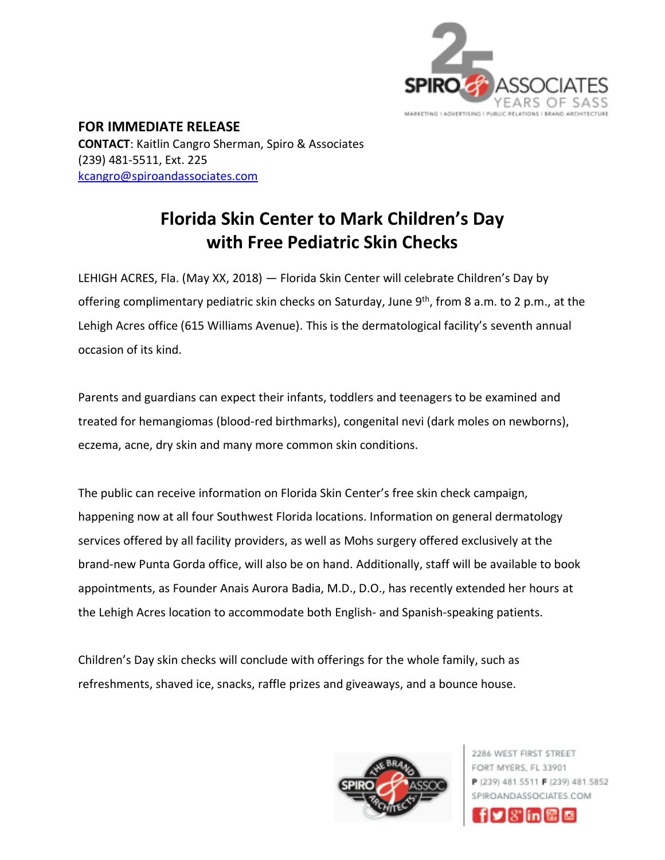

**FOR IMMEDIATE RELEASE CONTACT**: Kaitlin Cangro Sherman, Spiro & Associates (239) 481-5511, Ext. 225 [kcangro@spiroandassociates.com](mailto:kcangro@spiroandassociates.com)

## **Florida Skin Center to Mark Children's Day with Free Pediatric Skin Checks**

LEHIGH ACRES, Fla. (May XX, 2018) — Florida Skin Center will celebrate Children's Day by offering complimentary pediatric skin checks on Saturday, June 9<sup>th</sup>, from 8 a.m. to 2 p.m., at the Lehigh Acres office (615 Williams Avenue). This is the dermatological facility's seventh annual occasion of its kind.

Parents and guardians can expect their infants, toddlers and teenagers to be examined and treated for hemangiomas (blood-red birthmarks), congenital nevi (dark moles on newborns), eczema, acne, dry skin and many more common skin conditions.

The public can receive information on Florida Skin Center's free skin check campaign, happening now at all four Southwest Florida locations. Information on general dermatology services offered by all facility providers, as well as Mohs surgery offered exclusively at the brand-new Punta Gorda office, will also be on hand. Additionally, staff will be available to book appointments, as Founder Anais Aurora Badia, M.D., D.O., has recently extended her hours at the Lehigh Acres location to accommodate both English- and Spanish-speaking patients.

Children's Day skin checks will conclude with offerings for the whole family, such as refreshments, shaved ice, snacks, raffle prizes and giveaways, and a bounce house.



2286 WEST FIRST STREET FORT MYERS, FL 33901 P (239) 481.5511 F (239) 481.5852 SPIROANDASSOCIATES.COM